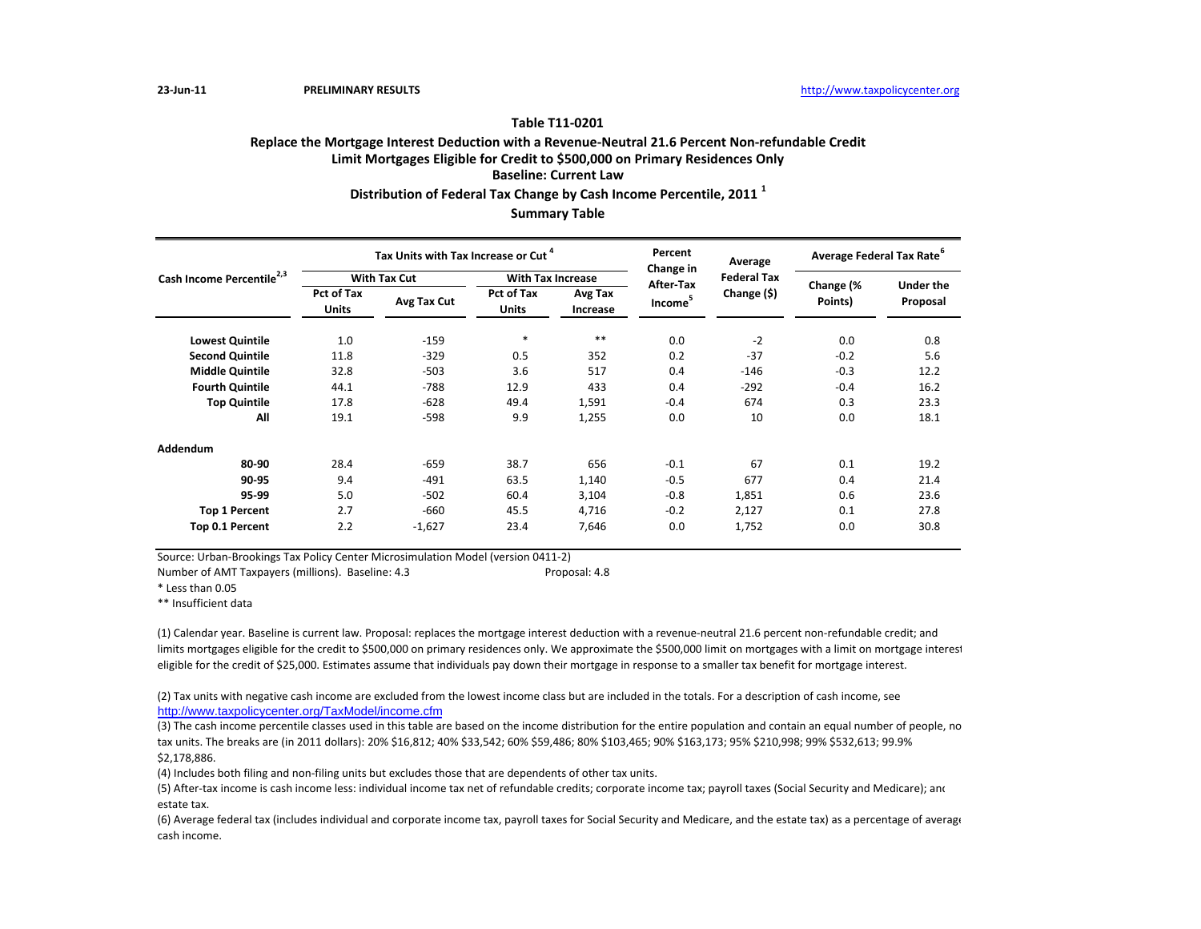## **Table T11‐0201**

# **Replace the Mortgage Interest Deduction with <sup>a</sup> Revenue‐Neutral 21.6 Percent Non‐refundable Credit Limit Mortgages Eligible for Credit to \$500,000 on Primary Residences Only Baseline: Current LawDistribution of Federal Tax Change by Cash Income Percentile, <sup>2011</sup> <sup>1</sup>**

**Summary Table**

|                                       |                                   | Tax Units with Tax Increase or Cut <sup>4</sup> |                            |                     | Percent                | Average            | Average Federal Tax Rate <sup>o</sup> |                              |
|---------------------------------------|-----------------------------------|-------------------------------------------------|----------------------------|---------------------|------------------------|--------------------|---------------------------------------|------------------------------|
| Cash Income Percentile <sup>2,3</sup> |                                   | <b>With Tax Cut</b>                             | <b>With Tax Increase</b>   |                     | Change in<br>After-Tax | <b>Federal Tax</b> |                                       |                              |
|                                       | <b>Pct of Tax</b><br><b>Units</b> | Avg Tax Cut                                     | Pct of Tax<br><b>Units</b> | Avg Tax<br>Increase | Income <sup>5</sup>    | Change (\$)        | Change (%<br>Points)                  | <b>Under the</b><br>Proposal |
| <b>Lowest Quintile</b>                | 1.0                               | $-159$                                          | $\ast$                     | $**$                | 0.0                    | $-2$               | 0.0                                   | 0.8                          |
| <b>Second Quintile</b>                | 11.8                              | $-329$                                          | 0.5                        | 352                 | 0.2                    | $-37$              | $-0.2$                                | 5.6                          |
| <b>Middle Quintile</b>                | 32.8                              | $-503$                                          | 3.6                        | 517                 | 0.4                    | $-146$             | $-0.3$                                | 12.2                         |
| <b>Fourth Quintile</b>                | 44.1                              | $-788$                                          | 12.9                       | 433                 | 0.4                    | $-292$             | $-0.4$                                | 16.2                         |
| <b>Top Quintile</b>                   | 17.8                              | $-628$                                          | 49.4                       | 1,591               | $-0.4$                 | 674                | 0.3                                   | 23.3                         |
| All                                   | 19.1                              | $-598$                                          | 9.9                        | 1,255               | 0.0                    | 10                 | 0.0                                   | 18.1                         |
| <b>Addendum</b>                       |                                   |                                                 |                            |                     |                        |                    |                                       |                              |
| 80-90                                 | 28.4                              | $-659$                                          | 38.7                       | 656                 | $-0.1$                 | 67                 | 0.1                                   | 19.2                         |
| 90-95                                 | 9.4                               | $-491$                                          | 63.5                       | 1,140               | $-0.5$                 | 677                | 0.4                                   | 21.4                         |
| 95-99                                 | 5.0                               | $-502$                                          | 60.4                       | 3,104               | $-0.8$                 | 1,851              | 0.6                                   | 23.6                         |
| <b>Top 1 Percent</b>                  | 2.7                               | $-660$                                          | 45.5                       | 4,716               | $-0.2$                 | 2,127              | 0.1                                   | 27.8                         |
| Top 0.1 Percent                       | 2.2                               | $-1,627$                                        | 23.4                       | 7,646               | 0.0                    | 1,752              | 0.0                                   | 30.8                         |

Source: Urban‐Brookings Tax Policy Center Microsimulation Model (version 0411‐2)

Number of AMT Taxpayers (millions). Baseline: 4.3 Proposal: 4.8

\* Less than 0.05

\*\* Insufficient data

(1) Calendar year. Baseline is current law. Proposal: replaces the mortgage interest deduction with <sup>a</sup> revenue‐neutral 21.6 percent non‐refundable credit; and limits mortgages eligible for the credit to \$500,000 on primary residences only. We approximate the \$500,000 limit on mortgages with <sup>a</sup> limit on mortgage interest eligible for the credit of \$25,000. Estimates assume that individuals pay down their mortgage in response to <sup>a</sup> smaller tax benefit for mortgage interest.

(2) Tax units with negative cash income are excluded from the lowest income class but are included in the totals. For <sup>a</sup> description of cash income, see http://www.taxpolicycenter.org/TaxModel/income.cfm

(3) The cash income percentile classes used in this table are based on the income distribution for the entire population and contain an equal number of people, no tax units. The breaks are (in 2011 dollars): 20% \$16,812; 40% \$33,542; 60% \$59,486; 80% \$103,465; 90% \$163,173; 95% \$210,998; 99% \$532,613; 99.9% \$2,178,886.

(4) Includes both filing and non‐filing units but excludes those that are dependents of other tax units.

(5) After‐tax income is cash income less: individual income tax net of refundable credits; corporate income tax; payroll taxes (Social Security and Medicare); and estate tax.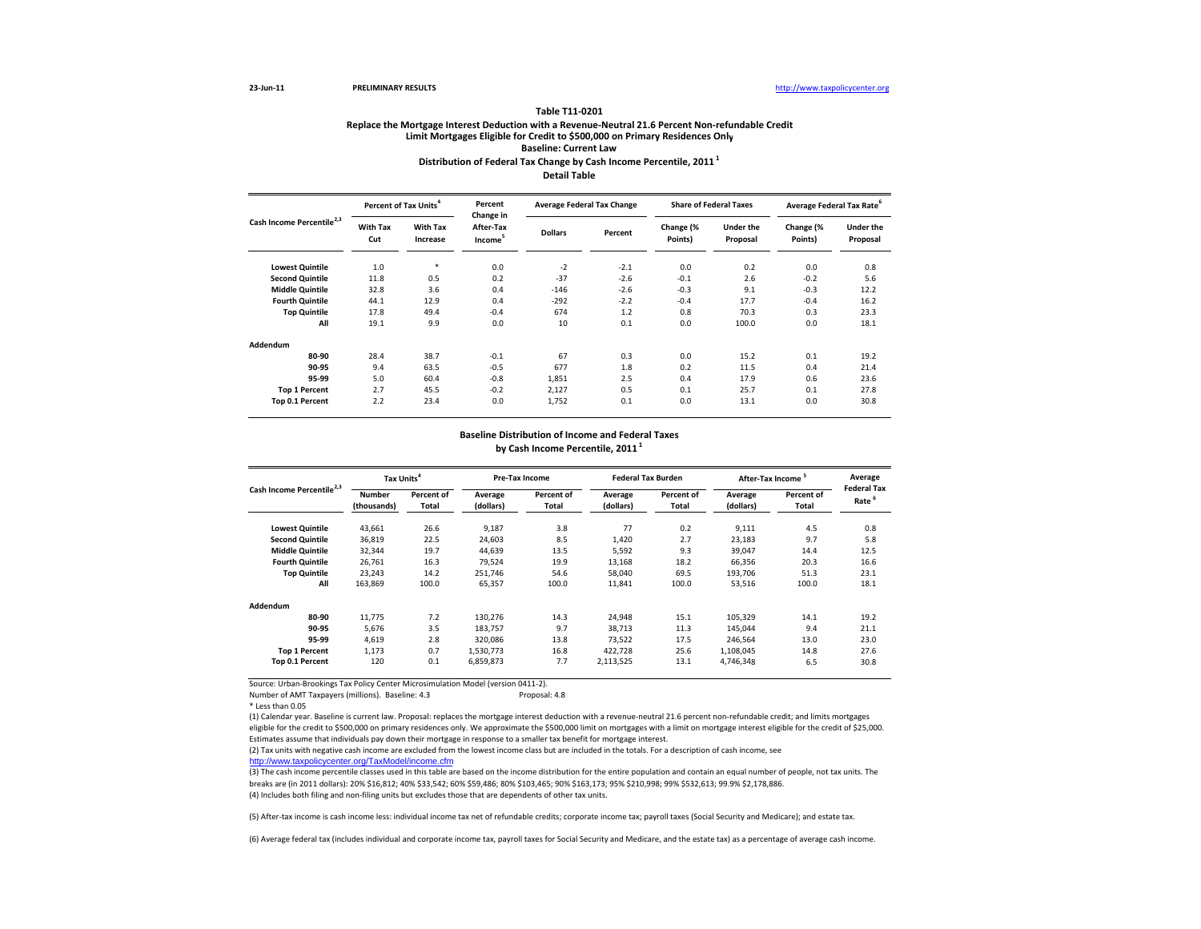#### **Table T11‐0201**

## **Distribution of Federal Tax Change by Cash Income Percentile, <sup>2011</sup> <sup>1</sup> Detail TableReplace the Mortgage Interest Deduction with <sup>a</sup> Revenue‐Neutral 21.6 Percent Non‐refundable Credit Limit Mortgages Eligible for Credit to \$500,000 on Primary Residences Only Baseline: Current Law**

**Lowest Quintile** 1.0 \* 0.0 ‐2 ‐2.1 0.0 0.2 0.0 0.8 **Second Quintile d Quintile** 11.8 0.5 0.2 -37 -2.6 -0.1 2.6 -0.2 5.6 **Middle Quintile** 32.8 3.6 0.4 ‐146 ‐2.6 ‐0.3 9.1 ‐0.3 12.2 **Fourthh Quintile** 44.1 12.9 0.4 -292 -2.2 -0.4 17.7 -0.4 16.2 **Top Quintile** 17.8 49.4 ‐0.4 674 1.2 0.8 70.3 0.3 23.3 **All** 19.1 9.9 0.0 10 0.1 0.0 100.0 0.0 18.1**Addendum80‐90** 28.4 38.7 ‐0.1 67 0.3 0.0 15.2 0.1 19.2 **90‐95** 9.4 63.5 ‐0.5 677 1.8 0.2 11.5 0.4 21.4 **95‐99** 5.0 60.4 ‐0.8 1,851 2.5 0.4 17.9 0.6 23.6 **Top 1 Percent** 2.7 45.5 ‐0.2 2,127 0.5 0.1 25.7 0.1 27.8 **Top 0.1 Percent** 2.2 23.4 0.0 1,752 0.1 0.0 13.1 0.0 30.8 **Under theProposal Change (% Points) Cash Income Percentile2,3 Share of Federal Taxes of Federal Taxes Average Federal Tax Rate<sup>6</sup> With Tax Cut Under theProposal With Tax IncreaseDollars Percent Change (% Points) Percent of TaxPercent Change in After‐TaxIncome<sup>5</sup> Average Federal Tax Change**

### **Baseline Distribution of Income and Federal Taxes by Cash Income Percentile, <sup>2011</sup> <sup>1</sup>**

|                                       | Tax Units <sup>4</sup>       |                            |                      | Pre-Tax Income      |                      | <b>Federal Tax Burden</b> |                      | After-Tax Income <sup>5</sup> |                                         |
|---------------------------------------|------------------------------|----------------------------|----------------------|---------------------|----------------------|---------------------------|----------------------|-------------------------------|-----------------------------------------|
| Cash Income Percentile <sup>2,3</sup> | <b>Number</b><br>(thousands) | Percent of<br><b>Total</b> | Average<br>(dollars) | Percent of<br>Total | Average<br>(dollars) | Percent of<br>Total       | Average<br>(dollars) | Percent of<br>Total           | <b>Federal Tax</b><br>Rate <sup>6</sup> |
| <b>Lowest Quintile</b>                | 43,661                       | 26.6                       | 9,187                | 3.8                 | 77                   | 0.2                       | 9,111                | 4.5                           | 0.8                                     |
| <b>Second Quintile</b>                | 36,819                       | 22.5                       | 24,603               | 8.5                 | 1,420                | 2.7                       | 23,183               | 9.7                           | 5.8                                     |
| <b>Middle Quintile</b>                | 32,344                       | 19.7                       | 44.639               | 13.5                | 5,592                | 9.3                       | 39,047               | 14.4                          | 12.5                                    |
| <b>Fourth Quintile</b>                | 26,761                       | 16.3                       | 79,524               | 19.9                | 13,168               | 18.2                      | 66,356               | 20.3                          | 16.6                                    |
| <b>Top Quintile</b>                   | 23,243                       | 14.2                       | 251,746              | 54.6                | 58,040               | 69.5                      | 193,706              | 51.3                          | 23.1                                    |
| All                                   | 163,869                      | 100.0                      | 65,357               | 100.0               | 11,841               | 100.0                     | 53,516               | 100.0                         | 18.1                                    |
| Addendum                              |                              |                            |                      |                     |                      |                           |                      |                               |                                         |
| 80-90                                 | 11.775                       | 7.2                        | 130,276              | 14.3                | 24,948               | 15.1                      | 105,329              | 14.1                          | 19.2                                    |
| 90-95                                 | 5,676                        | 3.5                        | 183,757              | 9.7                 | 38,713               | 11.3                      | 145,044              | 9.4                           | 21.1                                    |
| 95-99                                 | 4,619                        | 2.8                        | 320,086              | 13.8                | 73,522               | 17.5                      | 246,564              | 13.0                          | 23.0                                    |
| <b>Top 1 Percent</b>                  | 1,173                        | 0.7                        | 1,530,773            | 16.8                | 422,728              | 25.6                      | 1,108,045            | 14.8                          | 27.6                                    |
| Top 0.1 Percent                       | 120                          | 0.1                        | 6,859,873            | 7.7                 | 2,113,525            | 13.1                      | 4,746,348            | 6.5                           | 30.8                                    |

Source: Urban‐Brookings Tax Policy Center Microsimulation Model (version 0411‐2).

Number of AMT Taxpayers (millions). Baseline: 4.3 Proposal: 4.8

\* Less than 0.05

(1) Calendar year. Baseline is current law. Proposal: replaces the mortgage interest deduction with <sup>a</sup> revenue‐neutral 21.6 percent non‐refundable credit; and limits mortgages eligible for the credit to \$500,000 on primary residences only. We approximate the \$500,000 limit on mortgages with a limit on mortgage interest eligible for the credit of \$25,000. Estimates assume that individuals pay down their mortgage in response to <sup>a</sup> smaller tax benefit for mortgage interest.

(2) Tax units with negative cash income are excluded from the lowest income class but are included in the totals. For <sup>a</sup> description of cash income, see http://www.taxpolicycenter.org/TaxModel/income.cfm

(3) The cash income percentile classes used in this table are based on the income distribution for the entire population and contain an equal number of people, not tax units. The breaks are (in 2011 dollars): 20% \$16,812; 40% \$33,542; 60% \$59,486; 80% \$103,465; 90% \$163,173; 95% \$210,998; 99% \$532,613; 99.9% \$2,178,886.

(4) Includes both filing and non‐filing units but excludes those that are dependents of other tax units.

(5) After‐tax income is cash income less: individual income tax net of refundable credits; corporate income tax; payroll taxes (Social Security and Medicare); and estate tax.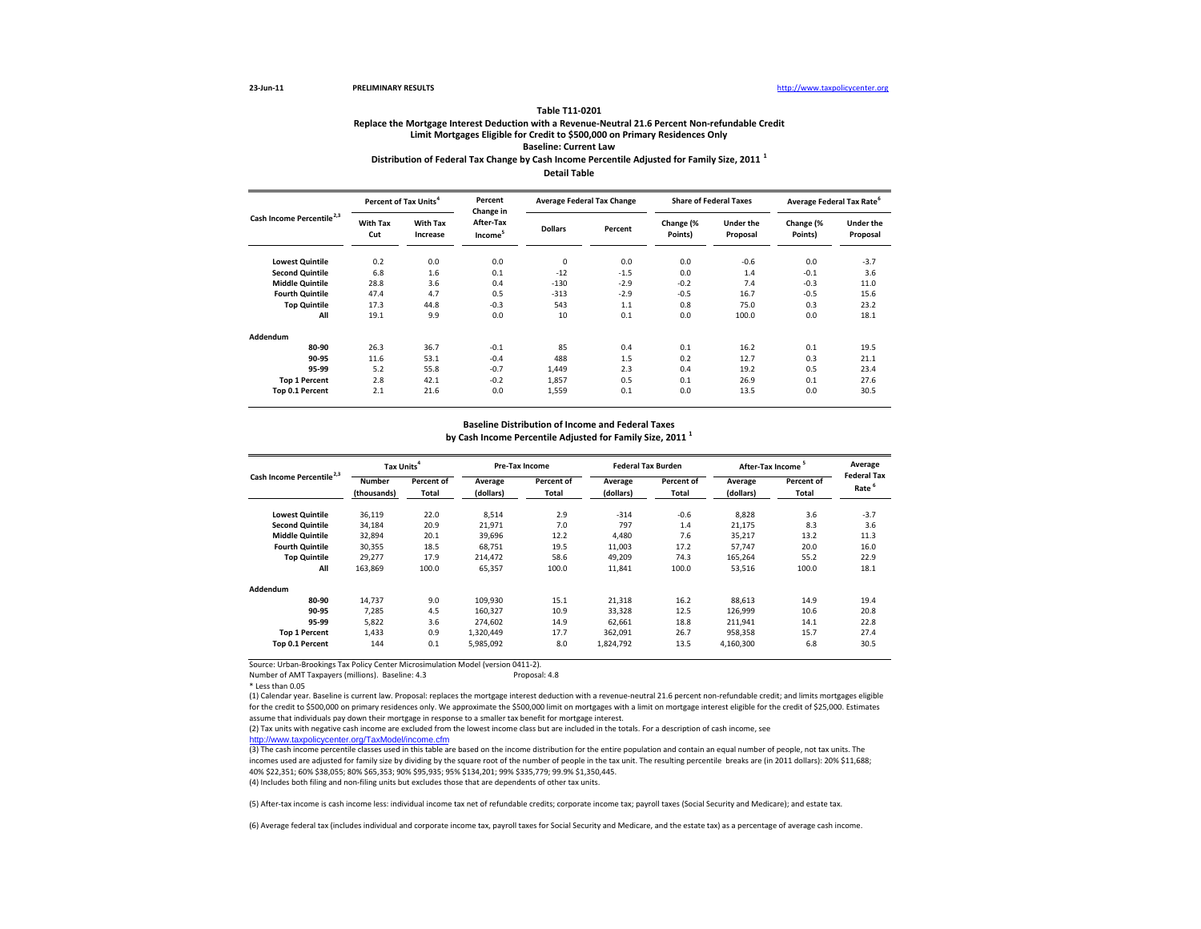#### **Table T11‐0201**

## **Replace the Mortgage Interest Deduction with <sup>a</sup> Revenue‐Neutral 21.6 Percent Non‐refundable Credit Limit Mortgages Eligible for Credit to \$500,000 on Primary Residences Only Baseline: Current Law Distribution of Federal Tax Change by Cash Income Percentile Adjusted for Family Size, <sup>2011</sup> <sup>1</sup> Detail Table**

**Lowest Quintile** 0.2 0.0 0.0 0 0.0 0.0 ‐0.6 0.0 ‐3.7 **Second** Quintile **Quintile** 6.8 1.6 0.1 ‐12 ‐1.5 0.0 1.4 ‐0.1 3.6 **Middlee Quintile** 28.8 3.6 0.4 -130 -2.9 -0.2 7.4 -0.3 11.0 **Fourthh Quintile** 47.4 4.7 0.5 -313 -2.9 -0.5 16.7 -0.5 15.6 **Top Quintile** 17.3 44.8 ‐0.3 543 1.1 0.8 75.0 0.3 23.2 **All** 19.1 9.9 0.0 10 0.1 0.0 100.0 0.0 18.1**Addendum80‐90** $26.3$   $36.7$   $-0.1$   $85$   $0.4$   $0.1$   $16.2$   $0.1$   $19.5$ **90‐95** 11.6 53.1 ‐0.4 488 1.5 0.2 12.7 0.3 21.1 **95‐99** 5.2 55.8 ‐0.7 1,449 2.3 0.4 19.2 0.5 23.4 **Top 1 Percent** 2.8 42.1 ‐0.2 1,857 0.5 0.1 26.9 0.1 27.6 **Top 0.1 Percent** 2.1 21.6 0.0 1,559 0.1 0.0 13.5 0.0 30.5 **Percent of Tax Units<sup>4</sup> Percent Change in After‐TaxIncome<sup>5</sup> Average Federal Tax Change Share of Federal Taxes Average Federal Tax Rate<sup>6</sup> Dollars Under theProposal Cash Income Percentile2,3 PercentChange (% Points) Under the Proposal Change (% Points) With Tax Increase With Tax Cut**

#### **Baseline Distribution of Income and Federal Taxes**

**by Cash Income Percentile Adjusted for Family Size, <sup>2011</sup> <sup>1</sup>**

| Cash Income Percentile <sup>2,3</sup> | Tax Units <sup>4</sup> |                            |                      | <b>Pre-Tax Income</b>      |                      | <b>Federal Tax Burden</b>  |                      | After-Tax Income <sup>5</sup> |                                         |
|---------------------------------------|------------------------|----------------------------|----------------------|----------------------------|----------------------|----------------------------|----------------------|-------------------------------|-----------------------------------------|
|                                       | Number<br>(thousands)  | Percent of<br><b>Total</b> | Average<br>(dollars) | Percent of<br><b>Total</b> | Average<br>(dollars) | Percent of<br><b>Total</b> | Average<br>(dollars) | Percent of<br>Total           | <b>Federal Tax</b><br>Rate <sup>6</sup> |
| <b>Lowest Quintile</b>                | 36,119                 | 22.0                       | 8,514                | 2.9                        | $-314$               | $-0.6$                     | 8,828                | 3.6                           | $-3.7$                                  |
| <b>Second Quintile</b>                | 34,184                 | 20.9                       | 21.971               | 7.0                        | 797                  | 1.4                        | 21,175               | 8.3                           | 3.6                                     |
| <b>Middle Quintile</b>                | 32,894                 | 20.1                       | 39.696               | 12.2                       | 4,480                | 7.6                        | 35,217               | 13.2                          | 11.3                                    |
| <b>Fourth Quintile</b>                | 30,355                 | 18.5                       | 68.751               | 19.5                       | 11,003               | 17.2                       | 57,747               | 20.0                          | 16.0                                    |
| <b>Top Quintile</b>                   | 29.277                 | 17.9                       | 214.472              | 58.6                       | 49.209               | 74.3                       | 165.264              | 55.2                          | 22.9                                    |
| All                                   | 163.869                | 100.0                      | 65,357               | 100.0                      | 11,841               | 100.0                      | 53,516               | 100.0                         | 18.1                                    |
| Addendum                              |                        |                            |                      |                            |                      |                            |                      |                               |                                         |
| 80-90                                 | 14.737                 | 9.0                        | 109.930              | 15.1                       | 21,318               | 16.2                       | 88.613               | 14.9                          | 19.4                                    |
| 90-95                                 | 7.285                  | 4.5                        | 160.327              | 10.9                       | 33,328               | 12.5                       | 126,999              | 10.6                          | 20.8                                    |
| 95-99                                 | 5,822                  | 3.6                        | 274.602              | 14.9                       | 62,661               | 18.8                       | 211,941              | 14.1                          | 22.8                                    |
| <b>Top 1 Percent</b>                  | 1.433                  | 0.9                        | 1.320.449            | 17.7                       | 362.091              | 26.7                       | 958.358              | 15.7                          | 27.4                                    |
| Top 0.1 Percent                       | 144                    | 0.1                        | 5,985,092            | 8.0                        | 1,824,792            | 13.5                       | 4,160,300            | 6.8                           | 30.5                                    |

Source: Urban‐Brookings Tax Policy Center Microsimulation Model (version 0411‐2).

Number of AMT Taxpayers (millions). Baseline: 4.3 Proposal: 4.8

\* Less than 0.05

(1) Calendar year. Baseline is current law. Proposal: replaces the mortgage interest deduction with <sup>a</sup> revenue‐neutral 21.6 percent non‐refundable credit; and limits mortgages eligible for the credit to \$500,000 on primary residences only. We approximate the \$500,000 limit on mortgages with a limit on mortgage interest eligible for the credit of \$25,000. Estimates assume that individuals pay down their mortgage in response to <sup>a</sup> smaller tax benefit for mortgage interest.

(2) Tax units with negative cash income are excluded from the lowest income class but are included in the totals. For <sup>a</sup> description of cash income, see

http://www.taxpolicycenter.org/TaxModel/income.cfm

(3) The cash income percentile classes used in this table are based on the income distribution for the entire population and contain an equal number of people, not tax units. The incomes used are adjusted for family size by dividing by the square root of the number of people in the tax unit. The resulting percentile breaks are (in 2011 dollars): 20% \$11,688; 40% \$22,351; 60% \$38,055; 80% \$65,353; 90% \$95,935; 95% \$134,201; 99% \$335,779; 99.9% \$1,350,445.

(4) Includes both filing and non-filing units but excludes those that are dependents of other tax units.

(5) After‐tax income is cash income less: individual income tax net of refundable credits; corporate income tax; payroll taxes (Social Security and Medicare); and estate tax.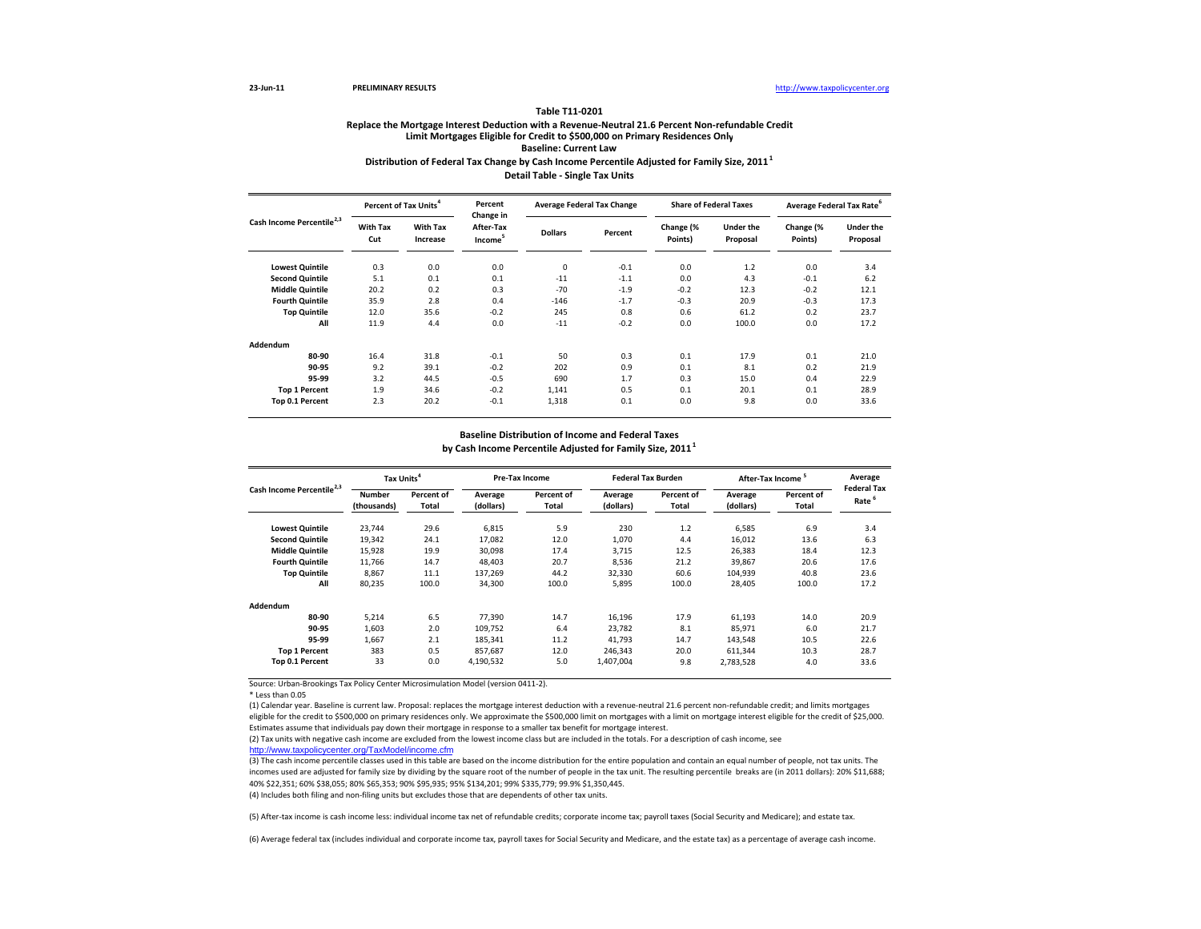#### **Table T11‐0201**

## **Distribution of Federal Tax Change by Cash Income Percentile Adjusted for Family Size, <sup>2011</sup><sup>1</sup> Detail Table ‐ Single Tax Units Replace the Mortgage Interest Deduction with <sup>a</sup> Revenue‐Neutral 21.6 Percent Non‐refundable Credit Limit Mortgages Eligible for Credit to \$500,000 on Primary Residences Only Baseline: Current Law**

**Lowest Quintile** 0.3 0.0 0.0 0 ‐0.1 0.0 1.2 0.0 3.4 **Second** Quintile **Quintile** 5.1 0.1 0.1 ‐11 ‐1.1 0.0 4.3 ‐0.1 6.2 **Middle Quintile** 20.2 0.2 0.3 ‐70 ‐1.9 ‐0.2 12.3 ‐0.2 12.1 **Fourth Quintile** 35.9 2.8 0.4 ‐146 ‐1.7 ‐0.3 20.9 ‐0.3 17.3 **Top Quintile** 12.0 35.6 ‐0.2 245 0.8 0.6 61.2 0.2 23.7 **All** 11.9 4.4 0.0 ‐11 ‐0.2 0.0 100.0 0.0 17.2 **Addendum80‐900** 16.4 31.8 -0.1 50 0.3 0.1 17.9 0.1 21.0 **90‐95** 9.2 39.1 ‐0.2 202 0.9 0.1 8.1 0.2 21.9 **95‐99** 3.2 44.5 ‐0.5 690 1.7 0.3 15.0 0.4 22.9 **Top 1 Percent** 1.9 34.6 ‐0.2 1,141 0.5 0.1 20.1 0.1 28.9 **Top 0.1 Percent** 2.3 20.2 ‐0.1 1,318 0.1 0.0 9.8 0.0 33.6 **Under theProposal With Tax IncreaseDollars Percent Change (% Points) Under the Proposal Change (% Points) Average Federal Tax Rate<sup>6</sup> With Tax Cut Cash Income Percentile2,3 Percent of TaxPercent Change in After‐TaxIncome<sup>5</sup> Average Federal Tax Change Share of Federal Taxes**

### **Baseline Distribution of Income and Federal Taxes**

**by Cash Income Percentile Adjusted for Family Size, <sup>2011</sup><sup>1</sup>**

| Cash Income Percentile <sup>2,3</sup> | Tax Units <sup>4</sup>       |                            | Pre-Tax Income       |                     | <b>Federal Tax Burden</b> |                     | After-Tax Income     |                     | Average<br><b>Federal Tax</b> |
|---------------------------------------|------------------------------|----------------------------|----------------------|---------------------|---------------------------|---------------------|----------------------|---------------------|-------------------------------|
|                                       | <b>Number</b><br>(thousands) | Percent of<br><b>Total</b> | Average<br>(dollars) | Percent of<br>Total | Average<br>(dollars)      | Percent of<br>Total | Average<br>(dollars) | Percent of<br>Total | Rate <sup>6</sup>             |
| <b>Lowest Quintile</b>                | 23,744                       | 29.6                       | 6,815                | 5.9                 | 230                       | 1.2                 | 6,585                | 6.9                 | 3.4                           |
| <b>Second Quintile</b>                | 19,342                       | 24.1                       | 17,082               | 12.0                | 1,070                     | 4.4                 | 16,012               | 13.6                | 6.3                           |
| <b>Middle Quintile</b>                | 15,928                       | 19.9                       | 30,098               | 17.4                | 3,715                     | 12.5                | 26,383               | 18.4                | 12.3                          |
| <b>Fourth Quintile</b>                | 11.766                       | 14.7                       | 48.403               | 20.7                | 8,536                     | 21.2                | 39,867               | 20.6                | 17.6                          |
| <b>Top Quintile</b>                   | 8,867                        | 11.1                       | 137.269              | 44.2                | 32,330                    | 60.6                | 104,939              | 40.8                | 23.6                          |
| All                                   | 80,235                       | 100.0                      | 34,300               | 100.0               | 5,895                     | 100.0               | 28,405               | 100.0               | 17.2                          |
| Addendum                              |                              |                            |                      |                     |                           |                     |                      |                     |                               |
| 80-90                                 | 5.214                        | 6.5                        | 77.390               | 14.7                | 16.196                    | 17.9                | 61.193               | 14.0                | 20.9                          |
| 90-95                                 | 1.603                        | 2.0                        | 109.752              | 6.4                 | 23.782                    | 8.1                 | 85,971               | 6.0                 | 21.7                          |
| 95-99                                 | 1.667                        | 2.1                        | 185.341              | 11.2                | 41.793                    | 14.7                | 143,548              | 10.5                | 22.6                          |
| <b>Top 1 Percent</b>                  | 383                          | 0.5                        | 857.687              | 12.0                | 246.343                   | 20.0                | 611,344              | 10.3                | 28.7                          |
| Top 0.1 Percent                       | 33                           | 0.0                        | 4,190,532            | 5.0                 | 1,407,004                 | 9.8                 | 2,783,528            | 4.0                 | 33.6                          |

Source: Urban‐Brookings Tax Policy Center Microsimulation Model (version 0411‐2).

(1) Calendar year. Baseline is current law. Proposal: replaces the mortgage interest deduction with <sup>a</sup> revenue‐neutral 21.6 percent non‐refundable credit; and limits mortgages eligible for the credit to \$500,000 on primary residences only. We approximate the \$500,000 limit on mortgages with <sup>a</sup> limit on mortgage interest eligible for the credit of \$25,000. Estimates assume that individuals pay down their mortgage in response to <sup>a</sup> smaller tax benefit for mortgage interest.

http://www.taxpolicycenter.org/TaxModel/income.cfm (2) Tax units with negative cash income are excluded from the lowest income class but are included in the totals. For <sup>a</sup> description of cash income, see

(3) The cash income percentile classes used in this table are based on the income distribution for the entire population and contain an equal number of people, not tax units. The incomes used are adjusted for family size by dividing by the square root of the number of people in the tax unit. The resulting percentile breaks are (in 2011 dollars): 20% \$11,688; 40% \$22,351; 60% \$38,055; 80% \$65,353; 90% \$95,935; 95% \$134,201; 99% \$335,779; 99.9% \$1,350,445.

(4) Includes both filing and non‐filing units but excludes those that are dependents of other tax units.

(5) After‐tax income is cash income less: individual income tax net of refundable credits; corporate income tax; payroll taxes (Social Security and Medicare); and estate tax.

<sup>\*</sup> Less than 0.05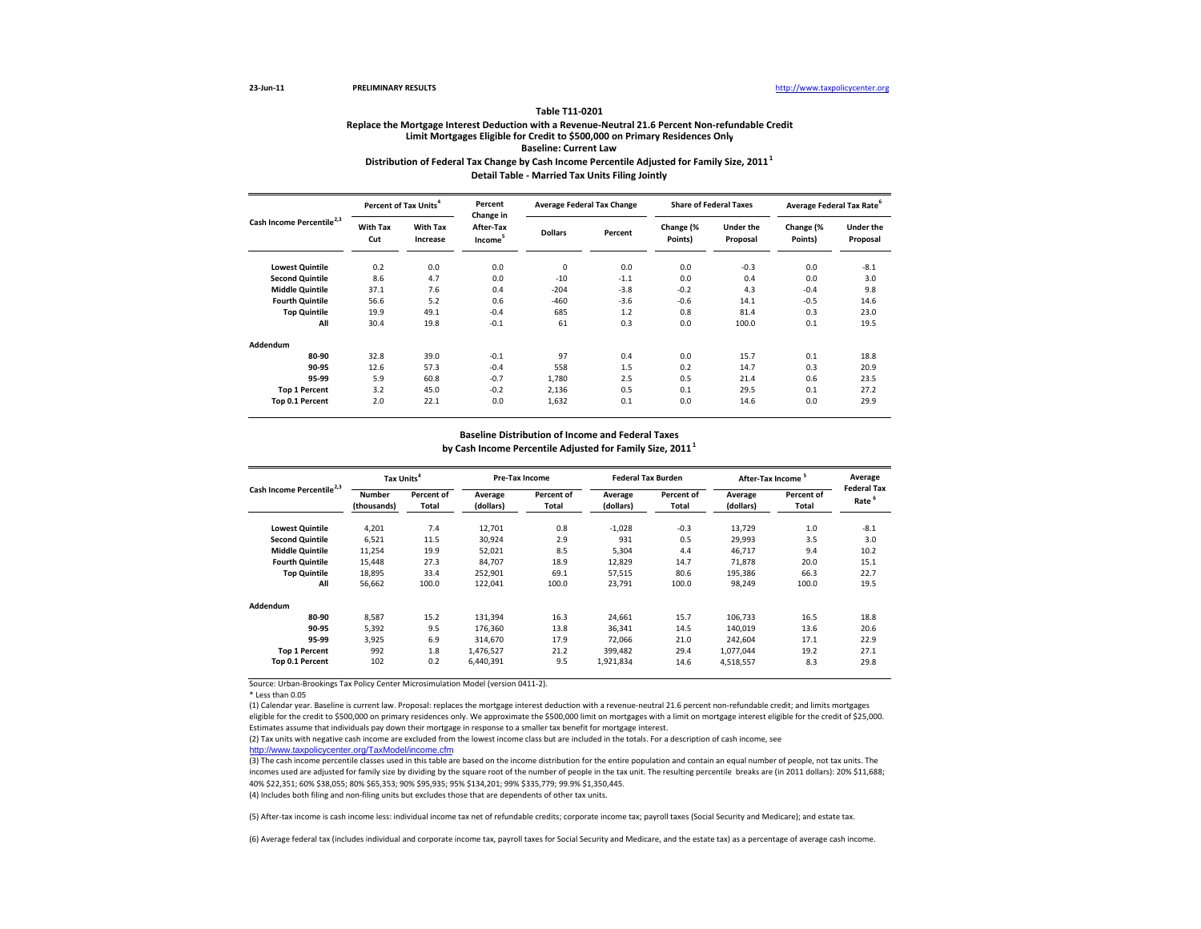#### **Table T11‐0201**

## **Distribution of Federal Tax Change by Cash Income Percentile Adjusted for Family Size, <sup>2011</sup><sup>1</sup> Detail Table ‐ Married Tax Units Filing Jointly Replace the Mortgage Interest Deduction with <sup>a</sup> Revenue‐Neutral 21.6 Percent Non‐refundable Credit Limit Mortgages Eligible for Credit to \$500,000 on Primary Residences Only Baseline: Current Law**

**Lowest Quintile** 0.2 0.0 0.0 0 0.0 0.0 ‐0.3 0.0 ‐8.1 **Second** Quintile **Quintile** 8.6 4.7 0.0 ‐10 ‐1.1 0.0 0.4 0.0 3.0 **Middle Quintile** 37.1 7.6 0.4 ‐204 ‐3.8 ‐0.2 4.3 ‐0.4 9.8 **Fourthh Quintile** 56.6 5.2 0.6 -460 -3.6 -0.6 14.1 -0.5 14.6 **Top Quintile** 19.9 49.1 ‐0.4 685 1.2 0.8 81.4 0.3 23.0 **All** 30.4 19.8 ‐0.1 61 0.3 0.0 100.0 0.1 19.5 **Addendum80‐90** 32.8 39.0 ‐0.1 97 0.4 0.0 15.7 0.1 18.8 **90‐95** 12.6 57.3 ‐0.4 558 1.5 0.2 14.7 0.3 20.9 **95‐99** 5.9 60.8 ‐0.7 1,780 2.5 0.5 21.4 0.6 23.5 **Top 1 Percent** 3.2 45.0 ‐0.2 2,136 0.5 0.1 29.5 0.1 27.2 **Top 0.1 Percent** 2.0 22.1 0.0 1,632 0.1 0.0 14.6 0.0 29.9 **Under theProposal With Tax IncreaseDollars Percent Change (% Points) Under the Proposal Change (% Points) Average Federal Tax Rate<sup>6</sup> With Tax Cut Cash Income Percentile2,3 Percent of TaxPercent Change in After‐TaxIncome<sup>5</sup> Average Federal Tax Change Share of Federal Taxes**

### **Baseline Distribution of Income and Federal Taxes**

**by Cash Income Percentile Adjusted for Family Size, <sup>2011</sup><sup>1</sup>**

| Cash Income Percentile <sup>2,3</sup> | Tax Units <sup>4</sup> |                            |                      | Pre-Tax Income      |                      | <b>Federal Tax Burden</b> |                      | <b>After-Tax Income</b> |                            |
|---------------------------------------|------------------------|----------------------------|----------------------|---------------------|----------------------|---------------------------|----------------------|-------------------------|----------------------------|
|                                       | Number<br>(thousands)  | Percent of<br><b>Total</b> | Average<br>(dollars) | Percent of<br>Total | Average<br>(dollars) | Percent of<br>Total       | Average<br>(dollars) | Percent of<br>Total     | <b>Federal Tax</b><br>Rate |
| <b>Lowest Quintile</b>                | 4,201                  | 7.4                        | 12,701               | 0.8                 | $-1,028$             | $-0.3$                    | 13,729               | 1.0                     | $-8.1$                     |
| <b>Second Quintile</b>                | 6,521                  | 11.5                       | 30,924               | 2.9                 | 931                  | 0.5                       | 29,993               | 3.5                     | 3.0                        |
| <b>Middle Quintile</b>                | 11,254                 | 19.9                       | 52,021               | 8.5                 | 5,304                | 4.4                       | 46,717               | 9.4                     | 10.2                       |
| <b>Fourth Quintile</b>                | 15,448                 | 27.3                       | 84,707               | 18.9                | 12,829               | 14.7                      | 71.878               | 20.0                    | 15.1                       |
| <b>Top Quintile</b>                   | 18,895                 | 33.4                       | 252,901              | 69.1                | 57,515               | 80.6                      | 195,386              | 66.3                    | 22.7                       |
| All                                   | 56,662                 | 100.0                      | 122.041              | 100.0               | 23,791               | 100.0                     | 98,249               | 100.0                   | 19.5                       |
| Addendum                              |                        |                            |                      |                     |                      |                           |                      |                         |                            |
| 80-90                                 | 8,587                  | 15.2                       | 131,394              | 16.3                | 24,661               | 15.7                      | 106,733              | 16.5                    | 18.8                       |
| 90-95                                 | 5,392                  | 9.5                        | 176.360              | 13.8                | 36,341               | 14.5                      | 140,019              | 13.6                    | 20.6                       |
| 95-99                                 | 3.925                  | 6.9                        | 314.670              | 17.9                | 72.066               | 21.0                      | 242.604              | 17.1                    | 22.9                       |
| <b>Top 1 Percent</b>                  | 992                    | 1.8                        | 1,476,527            | 21.2                | 399.482              | 29.4                      | 1,077,044            | 19.2                    | 27.1                       |
| Top 0.1 Percent                       | 102                    | 0.2                        | 6,440,391            | 9.5                 | 1,921,834            | 14.6                      | 4,518,557            | 8.3                     | 29.8                       |

Source: Urban‐Brookings Tax Policy Center Microsimulation Model (version 0411‐2).

(1) Calendar year. Baseline is current law. Proposal: replaces the mortgage interest deduction with <sup>a</sup> revenue‐neutral 21.6 percent non‐refundable credit; and limits mortgages eligible for the credit to \$500,000 on primary residences only. We approximate the \$500,000 limit on mortgages with <sup>a</sup> limit on mortgage interest eligible for the credit of \$25,000. Estimates assume that individuals pay down their mortgage in response to <sup>a</sup> smaller tax benefit for mortgage interest.

http://www.taxpolicycenter.org/TaxModel/income.cfm (2) Tax units with negative cash income are excluded from the lowest income class but are included in the totals. For <sup>a</sup> description of cash income, see

(3) The cash income percentile classes used in this table are based on the income distribution for the entire population and contain an equal number of people, not tax units. The incomes used are adjusted for family size by dividing by the square root of the number of people in the tax unit. The resulting percentile breaks are (in 2011 dollars): 20% \$11,688; 40% \$22,351; 60% \$38,055; 80% \$65,353; 90% \$95,935; 95% \$134,201; 99% \$335,779; 99.9% \$1,350,445.

(4) Includes both filing and non‐filing units but excludes those that are dependents of other tax units.

(5) After‐tax income is cash income less: individual income tax net of refundable credits; corporate income tax; payroll taxes (Social Security and Medicare); and estate tax.

<sup>\*</sup> Less than 0.05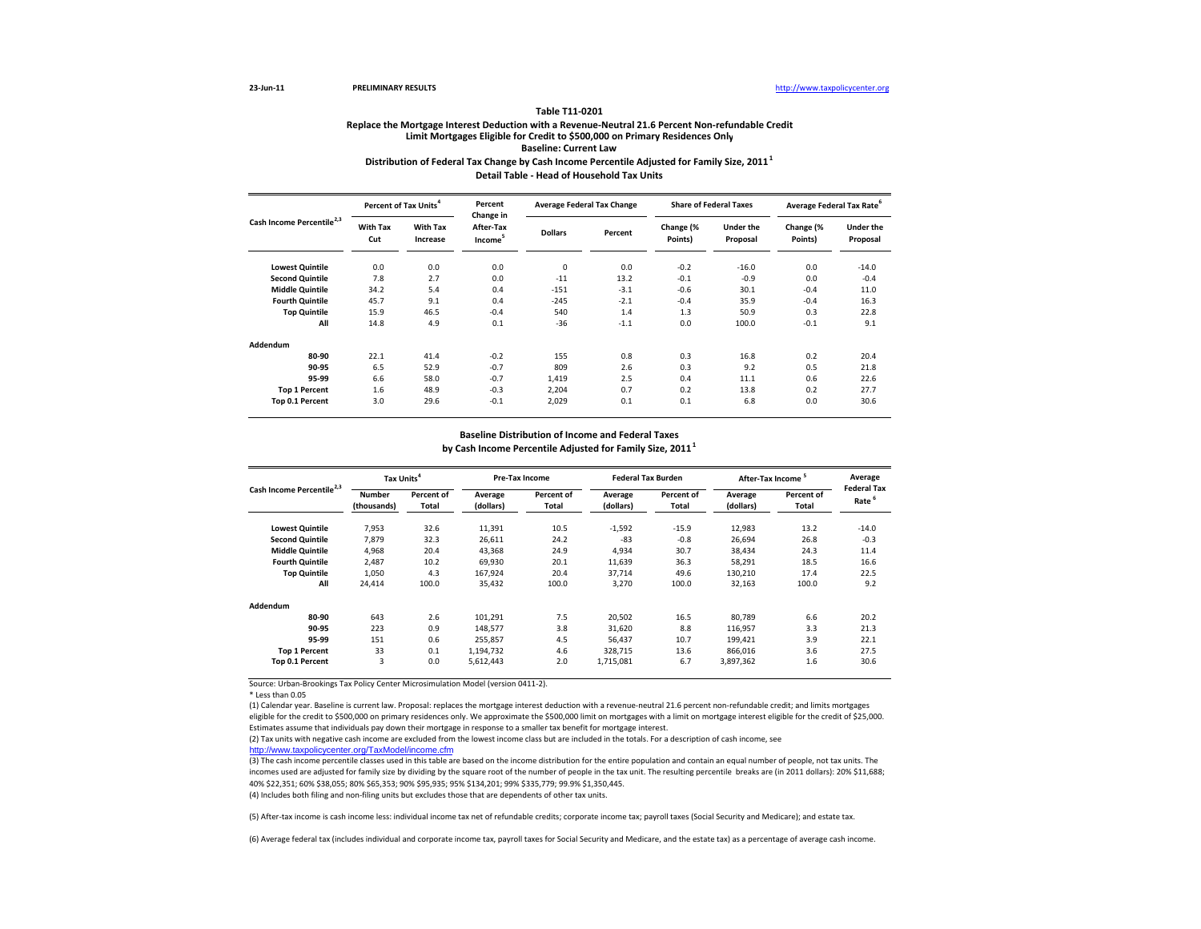#### **Table T11‐0201**

## **Distribution of Federal Tax Change by Cash Income Percentile Adjusted for Family Size, <sup>2011</sup><sup>1</sup> Detail Table ‐ Head of Household Tax Units Replace the Mortgage Interest Deduction with <sup>a</sup> Revenue‐Neutral 21.6 Percent Non‐refundable Credit Limit Mortgages Eligible for Credit to \$500,000 on Primary Residences Only Baseline: Current Law**

**Lowest Quintile** 0.0 0.0 0.0 0 0.0 ‐0.2 ‐16.0 0.0 ‐14.0 **Second** Quintile **d Quintile** 7.8 2.7 0.0 -11 13.2 -0.1 -0.9 0.0 -0.4 **Middlee Quintile** 34.2 5.4 0.4 -151 -3.1 -0.6 30.1 -0.4 11.0 **Fourthh Quintile** 45.7 9.1 0.4 -245 -2.1 -0.4 35.9 -0.4 16.3 **Top Quintile** 15.9 46.5 ‐0.4 540 1.4 1.3 50.9 0.3 22.8 **All** 14.8 4.9 0.1 ‐36 ‐1.1 0.0 100.0 ‐0.1 9.1 **Addendum80‐90** 22.1 41.4 ‐0.2 155 0.8 0.3 16.8 0.2 20.4 **90‐95** 6.5 52.9 ‐0.7 809 2.6 0.3 9.2 0.5 21.8 **95‐99** 6.6 58.0 ‐0.7 1,419 2.5 0.4 11.1 0.6 22.6 **Top 1 Percent** 1.6 48.9 ‐0.3 2,204 0.7 0.2 13.8 0.2 27.7 **Top 0.1 Percent** 3.0 29.6 ‐0.1 2,029 0.1 0.1 6.8 0.0 30.6 **Under theProposal With Tax IncreaseDollars Percent Change (% Points) Under the Proposal Change (% Points) Average Federal Tax Rate<sup>6</sup> With Tax Cut Cash Income Percentile2,3 Percent of TaxPercent Change in After‐TaxIncome<sup>5</sup> Average Federal Tax Change Share of Federal Taxes**

### **Baseline Distribution of Income and Federal Taxes**

**by Cash Income Percentile Adjusted for Family Size, <sup>2011</sup><sup>1</sup>**

| Cash Income Percentile <sup>2,3</sup> | Tax Units <sup>4</sup> |                     |                      | Pre-Tax Income      |                      | <b>Federal Tax Burden</b> |                      | <b>After-Tax Income</b> |                                         |
|---------------------------------------|------------------------|---------------------|----------------------|---------------------|----------------------|---------------------------|----------------------|-------------------------|-----------------------------------------|
|                                       | Number<br>(thousands)  | Percent of<br>Total | Average<br>(dollars) | Percent of<br>Total | Average<br>(dollars) | Percent of<br>Total       | Average<br>(dollars) | Percent of<br>Total     | <b>Federal Tax</b><br>Rate <sup>6</sup> |
| <b>Lowest Quintile</b>                | 7,953                  | 32.6                | 11,391               | 10.5                | $-1,592$             | $-15.9$                   | 12,983               | 13.2                    | $-14.0$                                 |
| <b>Second Quintile</b>                | 7.879                  | 32.3                | 26,611               | 24.2                | $-83$                | $-0.8$                    | 26,694               | 26.8                    | $-0.3$                                  |
| <b>Middle Quintile</b>                | 4,968                  | 20.4                | 43,368               | 24.9                | 4,934                | 30.7                      | 38,434               | 24.3                    | 11.4                                    |
| <b>Fourth Quintile</b>                | 2,487                  | 10.2                | 69,930               | 20.1                | 11,639               | 36.3                      | 58,291               | 18.5                    | 16.6                                    |
| <b>Top Quintile</b>                   | 1,050                  | 4.3                 | 167,924              | 20.4                | 37,714               | 49.6                      | 130,210              | 17.4                    | 22.5                                    |
| All                                   | 24,414                 | 100.0               | 35,432               | 100.0               | 3,270                | 100.0                     | 32,163               | 100.0                   | 9.2                                     |
| Addendum                              |                        |                     |                      |                     |                      |                           |                      |                         |                                         |
| 80-90                                 | 643                    | 2.6                 | 101,291              | 7.5                 | 20,502               | 16.5                      | 80,789               | 6.6                     | 20.2                                    |
| 90-95                                 | 223                    | 0.9                 | 148.577              | 3.8                 | 31,620               | 8.8                       | 116,957              | 3.3                     | 21.3                                    |
| 95-99                                 | 151                    | 0.6                 | 255.857              | 4.5                 | 56.437               | 10.7                      | 199,421              | 3.9                     | 22.1                                    |
| <b>Top 1 Percent</b>                  | 33                     | 0.1                 | 1,194,732            | 4.6                 | 328,715              | 13.6                      | 866,016              | 3.6                     | 27.5                                    |
| Top 0.1 Percent                       | 3                      | 0.0                 | 5,612,443            | 2.0                 | 1,715,081            | 6.7                       | 3,897,362            | 1.6                     | 30.6                                    |

Source: Urban‐Brookings Tax Policy Center Microsimulation Model (version 0411‐2).

\* Less than 0.05

(1) Calendar year. Baseline is current law. Proposal: replaces the mortgage interest deduction with <sup>a</sup> revenue‐neutral 21.6 percent non‐refundable credit; and limits mortgages eligible for the credit to \$500,000 on primary residences only. We approximate the \$500,000 limit on mortgages with <sup>a</sup> limit on mortgage interest eligible for the credit of \$25,000. Estimates assume that individuals pay down their mortgage in response to <sup>a</sup> smaller tax benefit for mortgage interest.

http://www.taxpolicycenter.org/TaxModel/income.cfm (2) Tax units with negative cash income are excluded from the lowest income class but are included in the totals. For <sup>a</sup> description of cash income, see

(3) The cash income percentile classes used in this table are based on the income distribution for the entire population and contain an equal number of people, not tax units. The incomes used are adjusted for family size by dividing by the square root of the number of people in the tax unit. The resulting percentile breaks are (in 2011 dollars): 20% \$11,688; 40% \$22,351; 60% \$38,055; 80% \$65,353; 90% \$95,935; 95% \$134,201; 99% \$335,779; 99.9% \$1,350,445.

(4) Includes both filing and non‐filing units but excludes those that are dependents of other tax units.

(5) After‐tax income is cash income less: individual income tax net of refundable credits; corporate income tax; payroll taxes (Social Security and Medicare); and estate tax.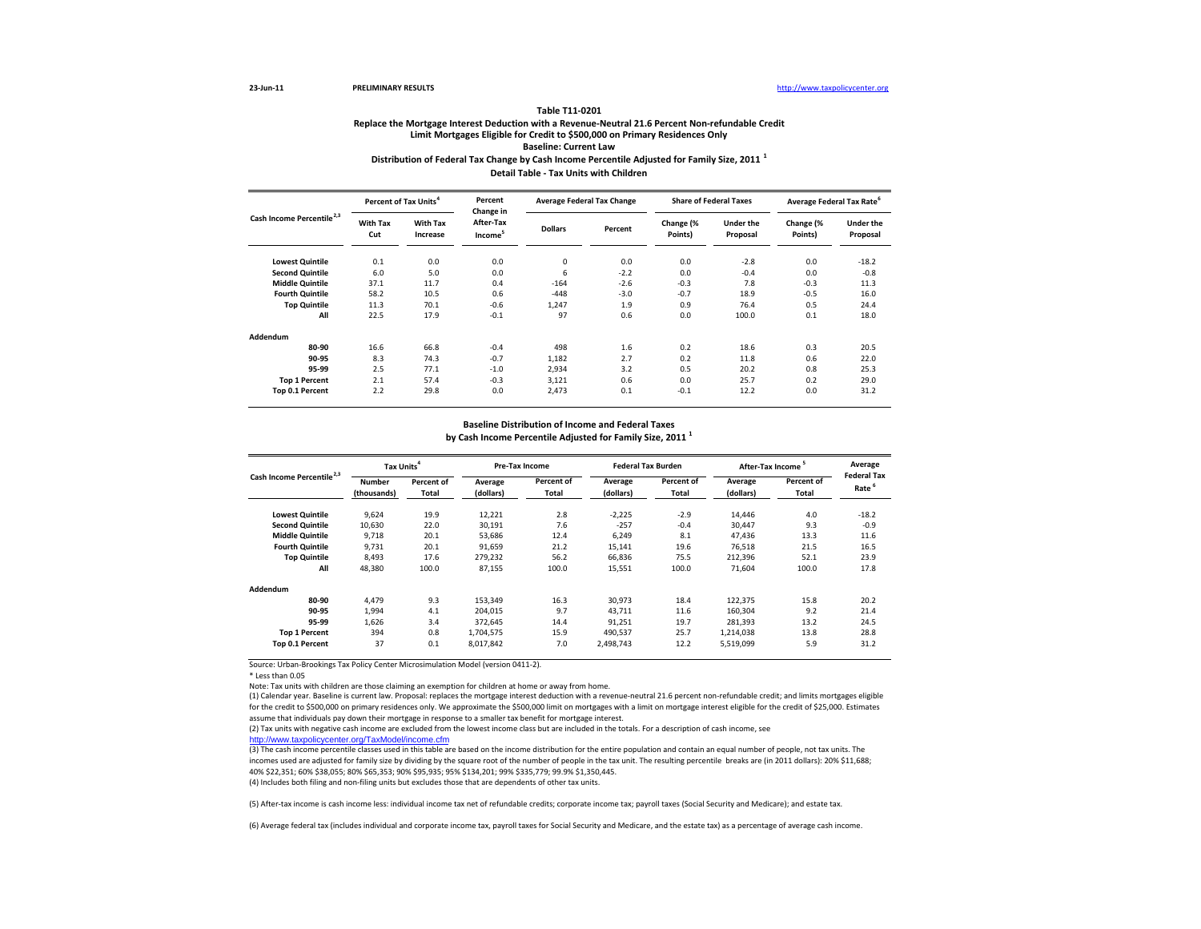#### **Table T11‐0201**

### **Distribution of Federal Tax Change by Cash Income Percentile Adjusted for Family Size, <sup>2011</sup> <sup>1</sup> Detail Table ‐ Tax Units with Children Replace the Mortgage Interest Deduction with <sup>a</sup> Revenue‐Neutral 21.6 Percent Non‐refundable Credit Limit Mortgages Eligible for Credit to \$500,000 on Primary Residences Only Baseline: Current Law**

**Lowest Quintile** 0.1 0.0 0.0 0 0.0 0.0 ‐2.8 0.0 ‐18.2 **Second** Quintile **Quintile** 6.0 5.0 0.0 6 ‐2.2 0.0 ‐0.4 0.0 ‐0.8 **Middlee Quintile** 37.1 11.7 0.4 -164 -2.6 -0.3 7.8 -0.3 11.3 **Fourthh Quintile** 58.2 10.5 0.6 -448 -3.0 -0.7 18.9 -0.5 16.0 **Top Quintile** 11.3 70.1 ‐0.6 1,247 1.9 0.9 76.4 0.5 24.4 **All** 22.5 17.9 ‐0.1 97 0.6 0.0 100.0 0.1 18.0 **Addendum80‐90** 16.6 66.8 ‐0.4 498 1.6 0.2 18.6 0.3 20.5 **90‐95** 8.3 74.3 ‐0.7 1,182 2.7 0.2 11.8 0.6 22.0 **95‐99** 2.5 77.1 ‐1.0 2,934 3.2 0.5 20.2 0.8 25.3 **Top 1 Percent** 2.1 57.4 ‐0.3 3,121 0.6 0.0 25.7 0.2 29.0 **Top 0.1 Percent** 2.2 29.8 0.0 2,473 0.1 ‐0.1 12.2 0.0 31.2 **Under theProposal With Tax IncreaseDollars Percent Change (% Points) Under the Proposal Change (% Points) Average Federal Tax Rate<sup>6</sup> With Tax CutCash Income Percentile2,3 Percent of Tax Units<sup>4</sup> Percent Change in After‐TaxIncome<sup>5</sup> Average Federal Tax Change Share of Federal Taxes**

#### **Baseline Distribution of Income and Federal Taxes**

**by Cash Income Percentile Adjusted for Family Size, <sup>2011</sup> <sup>1</sup>**

| Cash Income Percentile <sup>2,3</sup> | Tax Units <sup>4</sup> |                     |                      | Pre-Tax Income      |                      | <b>Federal Tax Burden</b> |                      | After-Tax Income <sup>5</sup> |                                         |
|---------------------------------------|------------------------|---------------------|----------------------|---------------------|----------------------|---------------------------|----------------------|-------------------------------|-----------------------------------------|
|                                       | Number<br>(thousands)  | Percent of<br>Total | Average<br>(dollars) | Percent of<br>Total | Average<br>(dollars) | Percent of<br>Total       | Average<br>(dollars) | Percent of<br>Total           | <b>Federal Tax</b><br>Rate <sup>6</sup> |
| <b>Lowest Quintile</b>                | 9,624                  | 19.9                | 12,221               | 2.8                 | $-2,225$             | $-2.9$                    | 14,446               | 4.0                           | $-18.2$                                 |
| <b>Second Quintile</b>                | 10,630                 | 22.0                | 30,191               | 7.6                 | $-257$               | $-0.4$                    | 30,447               | 9.3                           | $-0.9$                                  |
| <b>Middle Quintile</b>                | 9,718                  | 20.1                | 53,686               | 12.4                | 6,249                | 8.1                       | 47,436               | 13.3                          | 11.6                                    |
| <b>Fourth Quintile</b>                | 9,731                  | 20.1                | 91.659               | 21.2                | 15,141               | 19.6                      | 76,518               | 21.5                          | 16.5                                    |
| <b>Top Quintile</b>                   | 8,493                  | 17.6                | 279.232              | 56.2                | 66,836               | 75.5                      | 212,396              | 52.1                          | 23.9                                    |
| All                                   | 48,380                 | 100.0               | 87,155               | 100.0               | 15,551               | 100.0                     | 71.604               | 100.0                         | 17.8                                    |
| Addendum                              |                        |                     |                      |                     |                      |                           |                      |                               |                                         |
| 80-90                                 | 4.479                  | 9.3                 | 153,349              | 16.3                | 30,973               | 18.4                      | 122,375              | 15.8                          | 20.2                                    |
| 90-95                                 | 1,994                  | 4.1                 | 204,015              | 9.7                 | 43,711               | 11.6                      | 160,304              | 9.2                           | 21.4                                    |
| 95-99                                 | 1.626                  | 3.4                 | 372.645              | 14.4                | 91,251               | 19.7                      | 281.393              | 13.2                          | 24.5                                    |
| <b>Top 1 Percent</b>                  | 394                    | 0.8                 | 1,704,575            | 15.9                | 490,537              | 25.7                      | 1,214,038            | 13.8                          | 28.8                                    |
| Top 0.1 Percent                       | 37                     | 0.1                 | 8.017.842            | 7.0                 | 2.498.743            | 12.2                      | 5.519.099            | 5.9                           | 31.2                                    |

Source: Urban‐Brookings Tax Policy Center Microsimulation Model (version 0411‐2).

\* Less than 0.05

Note: Tax units with children are those claiming an exemption for children at home or away from home.

(1) Calendar year. Baseline is current law. Proposal: replaces the mortgage interest deduction with <sup>a</sup> revenue‐neutral 21.6 percent non‐refundable credit; and limits mortgages eligible for the credit to \$500,000 on primary residences only. We approximate the \$500,000 limit on mortgages with a limit on mortgage interest eligible for the credit of \$25,000. Estimates assume that individuals pay down their mortgage in response to <sup>a</sup> smaller tax benefit for mortgage interest.

http://www.taxpolicycenter.org/TaxModel/income.cfm

(3) The cash income percentile classes used in this table are based on the income distribution for the entire population and contain an equal number of people, not tax units. The incomes used are adjusted for family size by dividing by the square root of the number of people in the tax unit. The resulting percentile breaks are (in 2011 dollars): 20% \$11,688; 40% \$22,351; 60% \$38,055; 80% \$65,353; 90% \$95,935; 95% \$134,201; 99% \$335,779; 99.9% \$1,350,445.

(4) Includes both filing and non-filing units but excludes those that are dependents of other tax units.

(5) After‐tax income is cash income less: individual income tax net of refundable credits; corporate income tax; payroll taxes (Social Security and Medicare); and estate tax.

<sup>(2)</sup> Tax units with negative cash income are excluded from the lowest income class but are included in the totals. For <sup>a</sup> description of cash income, see